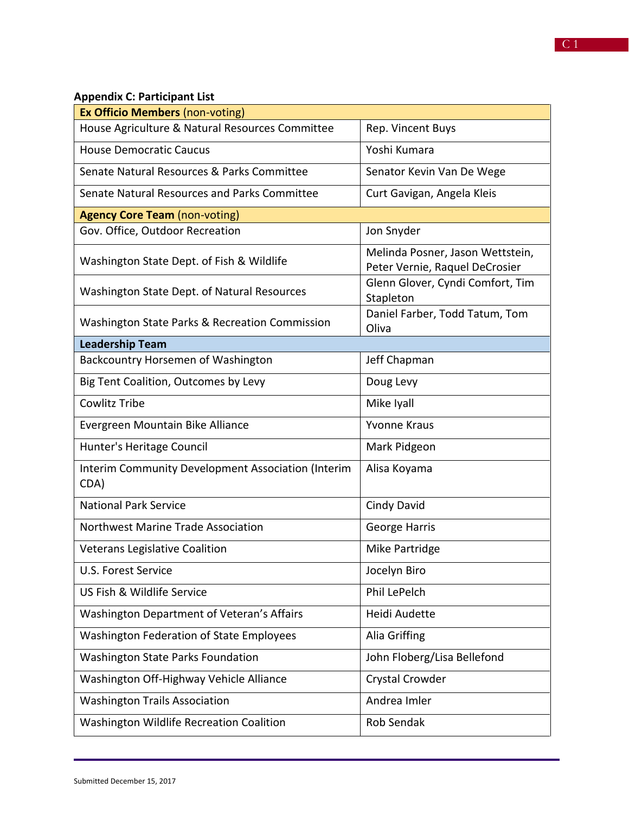| <b>Ex Officio Members (non-voting)</b>                     |                                                                    |  |
|------------------------------------------------------------|--------------------------------------------------------------------|--|
| House Agriculture & Natural Resources Committee            | Rep. Vincent Buys                                                  |  |
| <b>House Democratic Caucus</b>                             | Yoshi Kumara                                                       |  |
| Senate Natural Resources & Parks Committee                 | Senator Kevin Van De Wege                                          |  |
| Senate Natural Resources and Parks Committee               | Curt Gavigan, Angela Kleis                                         |  |
| <b>Agency Core Team (non-voting)</b>                       |                                                                    |  |
| Gov. Office, Outdoor Recreation                            | Jon Snyder                                                         |  |
| Washington State Dept. of Fish & Wildlife                  | Melinda Posner, Jason Wettstein,<br>Peter Vernie, Raquel DeCrosier |  |
| Washington State Dept. of Natural Resources                | Glenn Glover, Cyndi Comfort, Tim<br>Stapleton                      |  |
| Washington State Parks & Recreation Commission             | Daniel Farber, Todd Tatum, Tom<br>Oliva                            |  |
| <b>Leadership Team</b>                                     |                                                                    |  |
| Backcountry Horsemen of Washington                         | Jeff Chapman                                                       |  |
| Big Tent Coalition, Outcomes by Levy                       | Doug Levy                                                          |  |
| <b>Cowlitz Tribe</b>                                       | Mike Iyall                                                         |  |
| Evergreen Mountain Bike Alliance                           | <b>Yvonne Kraus</b>                                                |  |
| Hunter's Heritage Council                                  | Mark Pidgeon                                                       |  |
| Interim Community Development Association (Interim<br>CDA) | Alisa Koyama                                                       |  |
| <b>National Park Service</b>                               | <b>Cindy David</b>                                                 |  |
| Northwest Marine Trade Association                         | <b>George Harris</b>                                               |  |
| <b>Veterans Legislative Coalition</b>                      | Mike Partridge                                                     |  |
| U.S. Forest Service                                        | Jocelyn Biro                                                       |  |
| US Fish & Wildlife Service                                 | <b>Phil LePelch</b>                                                |  |
| Washington Department of Veteran's Affairs                 | Heidi Audette                                                      |  |
| <b>Washington Federation of State Employees</b>            | Alia Griffing                                                      |  |
| <b>Washington State Parks Foundation</b>                   | John Floberg/Lisa Bellefond                                        |  |
| Washington Off-Highway Vehicle Alliance                    | Crystal Crowder                                                    |  |
| <b>Washington Trails Association</b>                       | Andrea Imler                                                       |  |
| Washington Wildlife Recreation Coalition                   | Rob Sendak                                                         |  |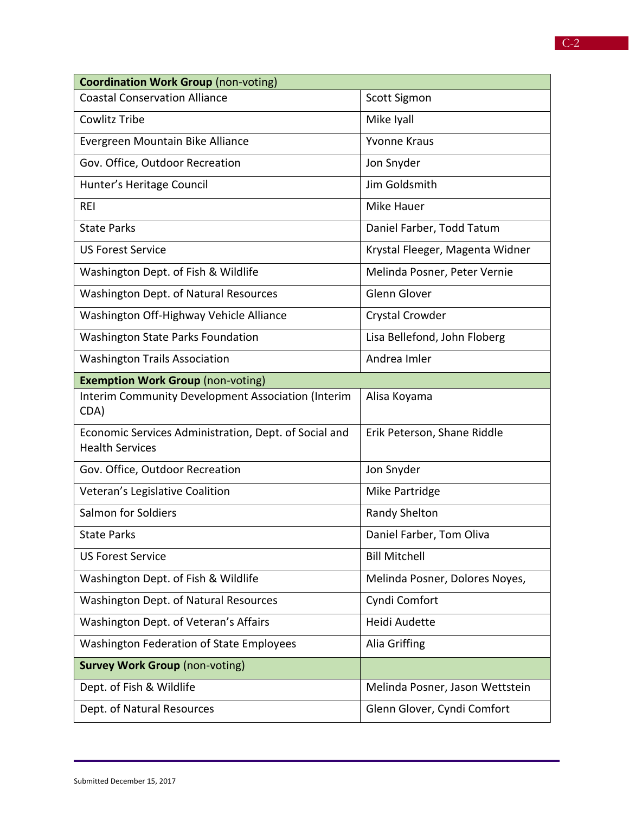| <b>Coordination Work Group (non-voting)</b>                                     |                                 |  |
|---------------------------------------------------------------------------------|---------------------------------|--|
| <b>Coastal Conservation Alliance</b>                                            | Scott Sigmon                    |  |
| Cowlitz Tribe                                                                   | Mike Iyall                      |  |
| Evergreen Mountain Bike Alliance                                                | <b>Yvonne Kraus</b>             |  |
| Gov. Office, Outdoor Recreation                                                 | Jon Snyder                      |  |
| Hunter's Heritage Council                                                       | Jim Goldsmith                   |  |
| <b>REI</b>                                                                      | <b>Mike Hauer</b>               |  |
| <b>State Parks</b>                                                              | Daniel Farber, Todd Tatum       |  |
| <b>US Forest Service</b>                                                        | Krystal Fleeger, Magenta Widner |  |
| Washington Dept. of Fish & Wildlife                                             | Melinda Posner, Peter Vernie    |  |
| Washington Dept. of Natural Resources                                           | Glenn Glover                    |  |
| Washington Off-Highway Vehicle Alliance                                         | Crystal Crowder                 |  |
| <b>Washington State Parks Foundation</b>                                        | Lisa Bellefond, John Floberg    |  |
| <b>Washington Trails Association</b>                                            | Andrea Imler                    |  |
| <b>Exemption Work Group (non-voting)</b>                                        |                                 |  |
| Interim Community Development Association (Interim<br>CDA)                      | Alisa Koyama                    |  |
| Economic Services Administration, Dept. of Social and<br><b>Health Services</b> | Erik Peterson, Shane Riddle     |  |
| Gov. Office, Outdoor Recreation                                                 | Jon Snyder                      |  |
| Veteran's Legislative Coalition                                                 | Mike Partridge                  |  |
| Salmon for Soldiers                                                             | <b>Randy Shelton</b>            |  |
| <b>State Parks</b>                                                              | Daniel Farber, Tom Oliva        |  |
| <b>US Forest Service</b>                                                        | <b>Bill Mitchell</b>            |  |
| Washington Dept. of Fish & Wildlife                                             | Melinda Posner, Dolores Noyes,  |  |
| Washington Dept. of Natural Resources                                           | Cyndi Comfort                   |  |
| Washington Dept. of Veteran's Affairs                                           | Heidi Audette                   |  |
| <b>Washington Federation of State Employees</b>                                 | Alia Griffing                   |  |
| <b>Survey Work Group (non-voting)</b>                                           |                                 |  |
| Dept. of Fish & Wildlife                                                        | Melinda Posner, Jason Wettstein |  |
| Dept. of Natural Resources                                                      | Glenn Glover, Cyndi Comfort     |  |